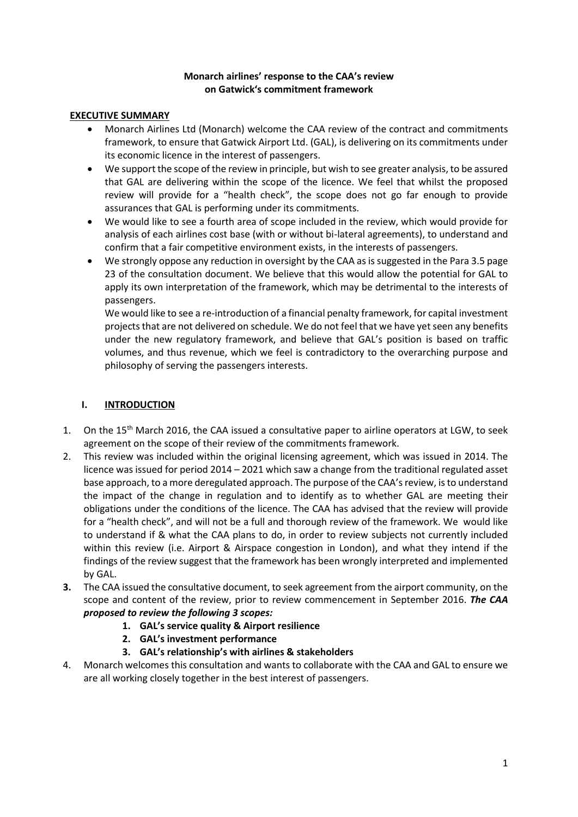# **Monarch airlines' response to the CAA's review on Gatwick's commitment framework**

# **EXECUTIVE SUMMARY**

- Monarch Airlines Ltd (Monarch) welcome the CAA review of the contract and commitments framework, to ensure that Gatwick Airport Ltd. (GAL), is delivering on its commitments under its economic licence in the interest of passengers.
- We support the scope of the review in principle, but wish to see greater analysis, to be assured that GAL are delivering within the scope of the licence. We feel that whilst the proposed review will provide for a "health check", the scope does not go far enough to provide assurances that GAL is performing under its commitments.
- We would like to see a fourth area of scope included in the review, which would provide for analysis of each airlines cost base (with or without bi-lateral agreements), to understand and confirm that a fair competitive environment exists, in the interests of passengers.
- We strongly oppose any reduction in oversight by the CAA as is suggested in the Para 3.5 page 23 of the consultation document. We believe that this would allow the potential for GAL to apply its own interpretation of the framework, which may be detrimental to the interests of passengers.

We would like to see a re-introduction of a financial penalty framework, for capital investment projects that are not delivered on schedule. We do not feel that we have yet seen any benefits under the new regulatory framework, and believe that GAL's position is based on traffic volumes, and thus revenue, which we feel is contradictory to the overarching purpose and philosophy of serving the passengers interests.

# **I. INTRODUCTION**

- 1. On the 15<sup>th</sup> March 2016, the CAA issued a consultative paper to airline operators at LGW, to seek agreement on the scope of their review of the commitments framework.
- 2. This review was included within the original licensing agreement, which was issued in 2014. The licence was issued for period 2014 – 2021 which saw a change from the traditional regulated asset base approach, to a more deregulated approach. The purpose of the CAA's review, is to understand the impact of the change in regulation and to identify as to whether GAL are meeting their obligations under the conditions of the licence. The CAA has advised that the review will provide for a "health check", and will not be a full and thorough review of the framework. We would like to understand if & what the CAA plans to do, in order to review subjects not currently included within this review (i.e. Airport & Airspace congestion in London), and what they intend if the findings of the review suggest that the framework has been wrongly interpreted and implemented by GAL.
- **3.** The CAA issued the consultative document, to seek agreement from the airport community, on the scope and content of the review, prior to review commencement in September 2016. *The CAA proposed to review the following 3 scopes:*
	- **1. GAL's service quality & Airport resilience**
	- **2. GAL's investment performance**
	- **3. GAL's relationship's with airlines & stakeholders**
- 4. Monarch welcomes this consultation and wants to collaborate with the CAA and GAL to ensure we are all working closely together in the best interest of passengers.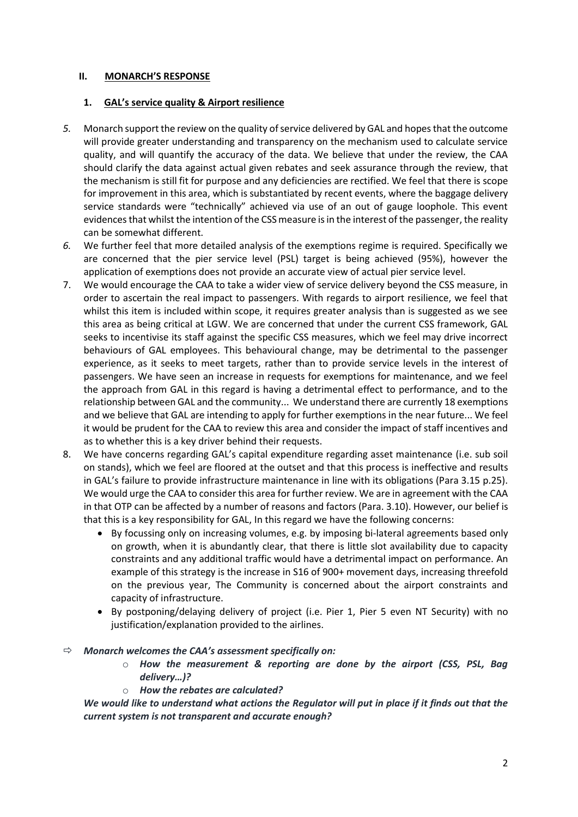## **II. MONARCH'S RESPONSE**

#### **1. GAL's service quality & Airport resilience**

- 5. Monarch support the review on the quality of service delivered by GAL and hopes that the outcome will provide greater understanding and transparency on the mechanism used to calculate service quality, and will quantify the accuracy of the data. We believe that under the review, the CAA should clarify the data against actual given rebates and seek assurance through the review, that the mechanism is still fit for purpose and any deficiencies are rectified. We feel that there is scope for improvement in this area, which is substantiated by recent events, where the baggage delivery service standards were "technically" achieved via use of an out of gauge loophole. This event evidences that whilst the intention of the CSS measure is in the interest of the passenger, the reality can be somewhat different.
- *6.* We further feel that more detailed analysis of the exemptions regime is required. Specifically we are concerned that the pier service level (PSL) target is being achieved (95%), however the application of exemptions does not provide an accurate view of actual pier service level.
- 7. We would encourage the CAA to take a wider view of service delivery beyond the CSS measure, in order to ascertain the real impact to passengers. With regards to airport resilience, we feel that whilst this item is included within scope, it requires greater analysis than is suggested as we see this area as being critical at LGW. We are concerned that under the current CSS framework, GAL seeks to incentivise its staff against the specific CSS measures, which we feel may drive incorrect behaviours of GAL employees. This behavioural change, may be detrimental to the passenger experience, as it seeks to meet targets, rather than to provide service levels in the interest of passengers. We have seen an increase in requests for exemptions for maintenance, and we feel the approach from GAL in this regard is having a detrimental effect to performance, and to the relationship between GAL and the community... We understand there are currently 18 exemptions and we believe that GAL are intending to apply for further exemptions in the near future... We feel it would be prudent for the CAA to review this area and consider the impact of staff incentives and as to whether this is a key driver behind their requests.
- 8. We have concerns regarding GAL's capital expenditure regarding asset maintenance (i.e. sub soil on stands), which we feel are floored at the outset and that this process is ineffective and results in GAL's failure to provide infrastructure maintenance in line with its obligations (Para 3.15 p.25). We would urge the CAA to consider this area for further review. We are in agreement with the CAA in that OTP can be affected by a number of reasons and factors (Para. 3.10). However, our belief is that this is a key responsibility for GAL, In this regard we have the following concerns:
	- By focussing only on increasing volumes, e.g. by imposing bi-lateral agreements based only on growth, when it is abundantly clear, that there is little slot availability due to capacity constraints and any additional traffic would have a detrimental impact on performance. An example of this strategy is the increase in S16 of 900+ movement days, increasing threefold on the previous year, The Community is concerned about the airport constraints and capacity of infrastructure.
	- By postponing/delaying delivery of project (i.e. Pier 1, Pier 5 even NT Security) with no justification/explanation provided to the airlines.
- *Monarch welcomes the CAA's assessment specifically on:*
	- o *How the measurement & reporting are done by the airport (CSS, PSL, Bag delivery…)?*
	- o *How the rebates are calculated?*

*We would like to understand what actions the Regulator will put in place if it finds out that the current system is not transparent and accurate enough?*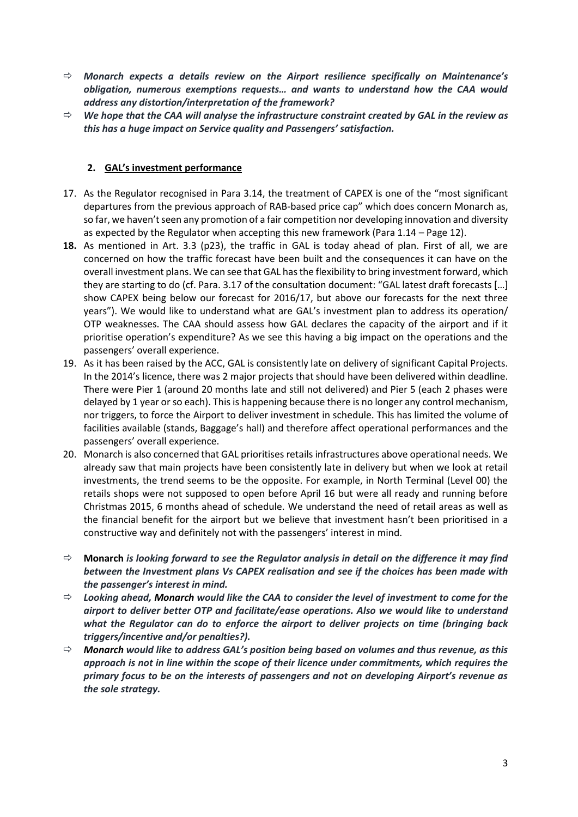- *Monarch expects a details review on the Airport resilience specifically on Maintenance's obligation, numerous exemptions requests… and wants to understand how the CAA would address any distortion/interpretation of the framework?*
- *We hope that the CAA will analyse the infrastructure constraint created by GAL in the review as this has a huge impact on Service quality and Passengers' satisfaction.*

# **2. GAL's investment performance**

- 17. As the Regulator recognised in Para 3.14, the treatment of CAPEX is one of the "most significant departures from the previous approach of RAB-based price cap" which does concern Monarch as, so far, we haven't seen any promotion of a fair competition nor developing innovation and diversity as expected by the Regulator when accepting this new framework (Para 1.14 – Page 12).
- **18.** As mentioned in Art. 3.3 (p23), the traffic in GAL is today ahead of plan. First of all, we are concerned on how the traffic forecast have been built and the consequences it can have on the overall investment plans. We can see that GAL has the flexibility to bring investment forward, which they are starting to do (cf. Para. 3.17 of the consultation document: "GAL latest draft forecasts […] show CAPEX being below our forecast for 2016/17, but above our forecasts for the next three years"). We would like to understand what are GAL's investment plan to address its operation/ OTP weaknesses. The CAA should assess how GAL declares the capacity of the airport and if it prioritise operation's expenditure? As we see this having a big impact on the operations and the passengers' overall experience.
- 19. As it has been raised by the ACC, GAL is consistently late on delivery of significant Capital Projects. In the 2014's licence, there was 2 major projects that should have been delivered within deadline. There were Pier 1 (around 20 months late and still not delivered) and Pier 5 (each 2 phases were delayed by 1 year or so each). This is happening because there is no longer any control mechanism, nor triggers, to force the Airport to deliver investment in schedule. This has limited the volume of facilities available (stands, Baggage's hall) and therefore affect operational performances and the passengers' overall experience.
- 20. Monarch is also concerned that GAL prioritises retails infrastructures above operational needs. We already saw that main projects have been consistently late in delivery but when we look at retail investments, the trend seems to be the opposite. For example, in North Terminal (Level 00) the retails shops were not supposed to open before April 16 but were all ready and running before Christmas 2015, 6 months ahead of schedule. We understand the need of retail areas as well as the financial benefit for the airport but we believe that investment hasn't been prioritised in a constructive way and definitely not with the passengers' interest in mind.
- **Monarch** *is looking forward to see the Regulator analysis in detail on the difference it may find between the Investment plans Vs CAPEX realisation and see if the choices has been made with the passenger's interest in mind.*
- *Looking ahead, Monarch would like the CAA to consider the level of investment to come for the airport to deliver better OTP and facilitate/ease operations. Also we would like to understand what the Regulator can do to enforce the airport to deliver projects on time (bringing back triggers/incentive and/or penalties?).*
- *Monarch would like to address GAL's position being based on volumes and thus revenue, as this approach is not in line within the scope of their licence under commitments, which requires the primary focus to be on the interests of passengers and not on developing Airport's revenue as the sole strategy.*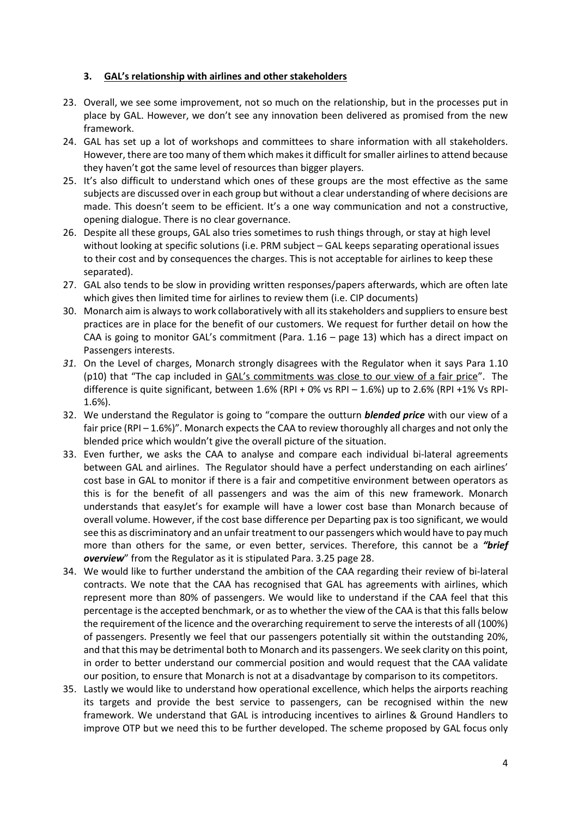# **3. GAL's relationship with airlines and other stakeholders**

- 23. Overall, we see some improvement, not so much on the relationship, but in the processes put in place by GAL. However, we don't see any innovation been delivered as promised from the new framework.
- 24. GAL has set up a lot of workshops and committees to share information with all stakeholders. However, there are too many of them which makes it difficult for smaller airlines to attend because they haven't got the same level of resources than bigger players.
- 25. It's also difficult to understand which ones of these groups are the most effective as the same subjects are discussed over in each group but without a clear understanding of where decisions are made. This doesn't seem to be efficient. It's a one way communication and not a constructive, opening dialogue. There is no clear governance.
- 26. Despite all these groups, GAL also tries sometimes to rush things through, or stay at high level without looking at specific solutions (i.e. PRM subject – GAL keeps separating operational issues to their cost and by consequences the charges. This is not acceptable for airlines to keep these separated).
- 27. GAL also tends to be slow in providing written responses/papers afterwards, which are often late which gives then limited time for airlines to review them (i.e. CIP documents)
- 30. Monarch aim is always to work collaboratively with all its stakeholders and suppliers to ensure best practices are in place for the benefit of our customers. We request for further detail on how the CAA is going to monitor GAL's commitment (Para. 1.16 – page 13) which has a direct impact on Passengers interests.
- *31.* On the Level of charges, Monarch strongly disagrees with the Regulator when it says Para 1.10 (p10) that "The cap included in GAL's commitments was close to our view of a fair price". The difference is quite significant, between 1.6% (RPI + 0% vs RPI – 1.6%) up to 2.6% (RPI +1% Vs RPI-1.6%).
- 32. We understand the Regulator is going to "compare the outturn *blended price* with our view of a fair price (RPI – 1.6%)". Monarch expects the CAA to review thoroughly all charges and not only the blended price which wouldn't give the overall picture of the situation.
- 33. Even further, we asks the CAA to analyse and compare each individual bi-lateral agreements between GAL and airlines. The Regulator should have a perfect understanding on each airlines' cost base in GAL to monitor if there is a fair and competitive environment between operators as this is for the benefit of all passengers and was the aim of this new framework. Monarch understands that easyJet's for example will have a lower cost base than Monarch because of overall volume. However, if the cost base difference per Departing pax is too significant, we would see this as discriminatory and an unfair treatment to our passengers which would have to pay much more than others for the same, or even better, services. Therefore, this cannot be a *"brief overview*" from the Regulator as it is stipulated Para. 3.25 page 28.
- 34. We would like to further understand the ambition of the CAA regarding their review of bi-lateral contracts. We note that the CAA has recognised that GAL has agreements with airlines, which represent more than 80% of passengers. We would like to understand if the CAA feel that this percentage is the accepted benchmark, or as to whether the view of the CAA is that this falls below the requirement of the licence and the overarching requirement to serve the interests of all (100%) of passengers. Presently we feel that our passengers potentially sit within the outstanding 20%, and that this may be detrimental both to Monarch and its passengers. We seek clarity on this point, in order to better understand our commercial position and would request that the CAA validate our position, to ensure that Monarch is not at a disadvantage by comparison to its competitors.
- 35. Lastly we would like to understand how operational excellence, which helps the airports reaching its targets and provide the best service to passengers, can be recognised within the new framework. We understand that GAL is introducing incentives to airlines & Ground Handlers to improve OTP but we need this to be further developed. The scheme proposed by GAL focus only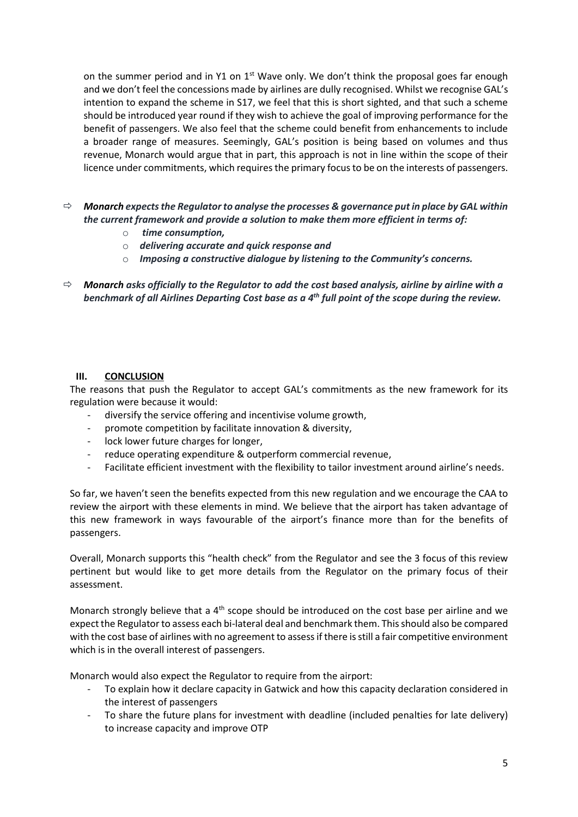on the summer period and in Y1 on  $1<sup>st</sup>$  Wave only. We don't think the proposal goes far enough and we don't feel the concessions made by airlines are dully recognised. Whilst we recognise GAL's intention to expand the scheme in S17, we feel that this is short sighted, and that such a scheme should be introduced year round if they wish to achieve the goal of improving performance for the benefit of passengers. We also feel that the scheme could benefit from enhancements to include a broader range of measures. Seemingly, GAL's position is being based on volumes and thus revenue, Monarch would argue that in part, this approach is not in line within the scope of their licence under commitments, which requires the primary focus to be on the interests of passengers.

- *Monarch expects the Regulatorto analyse the processes & governance put in place by GAL within the current framework and provide a solution to make them more efficient in terms of:*
	- o *time consumption,*
	- o *delivering accurate and quick response and*
	- o *Imposing a constructive dialogue by listening to the Community's concerns.*
- *Monarch asks officially to the Regulator to add the cost based analysis, airline by airline with a benchmark of all Airlines Departing Cost base as a 4th full point of the scope during the review.*

## **III. CONCLUSION**

The reasons that push the Regulator to accept GAL's commitments as the new framework for its regulation were because it would:

- diversify the service offering and incentivise volume growth,
- promote competition by facilitate innovation & diversity,
- lock lower future charges for longer.
- reduce operating expenditure & outperform commercial revenue,
- Facilitate efficient investment with the flexibility to tailor investment around airline's needs.

So far, we haven't seen the benefits expected from this new regulation and we encourage the CAA to review the airport with these elements in mind. We believe that the airport has taken advantage of this new framework in ways favourable of the airport's finance more than for the benefits of passengers.

Overall, Monarch supports this "health check" from the Regulator and see the 3 focus of this review pertinent but would like to get more details from the Regulator on the primary focus of their assessment.

Monarch strongly believe that a 4<sup>th</sup> scope should be introduced on the cost base per airline and we expect the Regulator to assess each bi-lateral deal and benchmark them. This should also be compared with the cost base of airlines with no agreement to assess if there is still a fair competitive environment which is in the overall interest of passengers.

Monarch would also expect the Regulator to require from the airport:

- To explain how it declare capacity in Gatwick and how this capacity declaration considered in the interest of passengers
- To share the future plans for investment with deadline (included penalties for late delivery) to increase capacity and improve OTP